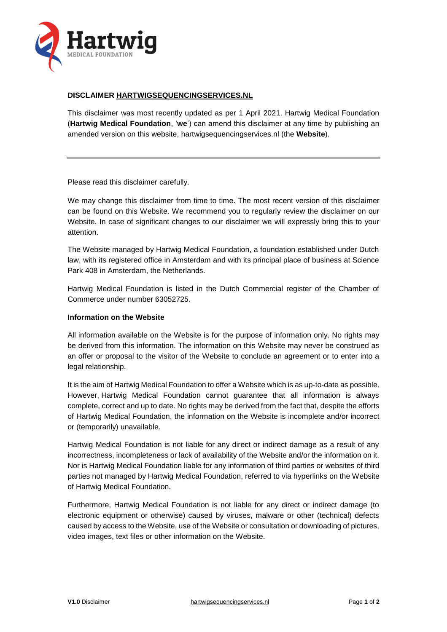

# **DISCLAIMER [HARTWIGSEQUENCINGSERVICES.NL](http://www.hartwigsequencingservices.nl/)**

This disclaimer was most recently updated as per 1 April 2021. Hartwig Medical Foundation (**Hartwig Medical Foundation**, '**we**') can amend this disclaimer at any time by publishing an amended version on this website, [hartwigsequencingservices.nl](http://www.oncoact.nl/) (the **Website**).

Please read this disclaimer carefully.

We may change this disclaimer from time to time. The most recent version of this disclaimer can be found on this Website. We recommend you to regularly review the disclaimer on our Website. In case of significant changes to our disclaimer we will expressly bring this to your attention.

The Website managed by Hartwig Medical Foundation, a foundation established under Dutch law, with its registered office in Amsterdam and with its principal place of business at Science Park 408 in Amsterdam, the Netherlands.

Hartwig Medical Foundation is listed in the Dutch Commercial register of the Chamber of Commerce under number 63052725.

### **Information on the Website**

All information available on the Website is for the purpose of information only. No rights may be derived from this information. The information on this Website may never be construed as an offer or proposal to the visitor of the Website to conclude an agreement or to enter into a legal relationship.

It is the aim of Hartwig Medical Foundation to offer a Website which is as up-to-date as possible. However, Hartwig Medical Foundation cannot guarantee that all information is always complete, correct and up to date. No rights may be derived from the fact that, despite the efforts of Hartwig Medical Foundation, the information on the Website is incomplete and/or incorrect or (temporarily) unavailable.

Hartwig Medical Foundation is not liable for any direct or indirect damage as a result of any incorrectness, incompleteness or lack of availability of the Website and/or the information on it. Nor is Hartwig Medical Foundation liable for any information of third parties or websites of third parties not managed by Hartwig Medical Foundation, referred to via hyperlinks on the Website of Hartwig Medical Foundation.

Furthermore, Hartwig Medical Foundation is not liable for any direct or indirect damage (to electronic equipment or otherwise) caused by viruses, malware or other (technical) defects caused by access to the Website, use of the Website or consultation or downloading of pictures, video images, text files or other information on the Website.